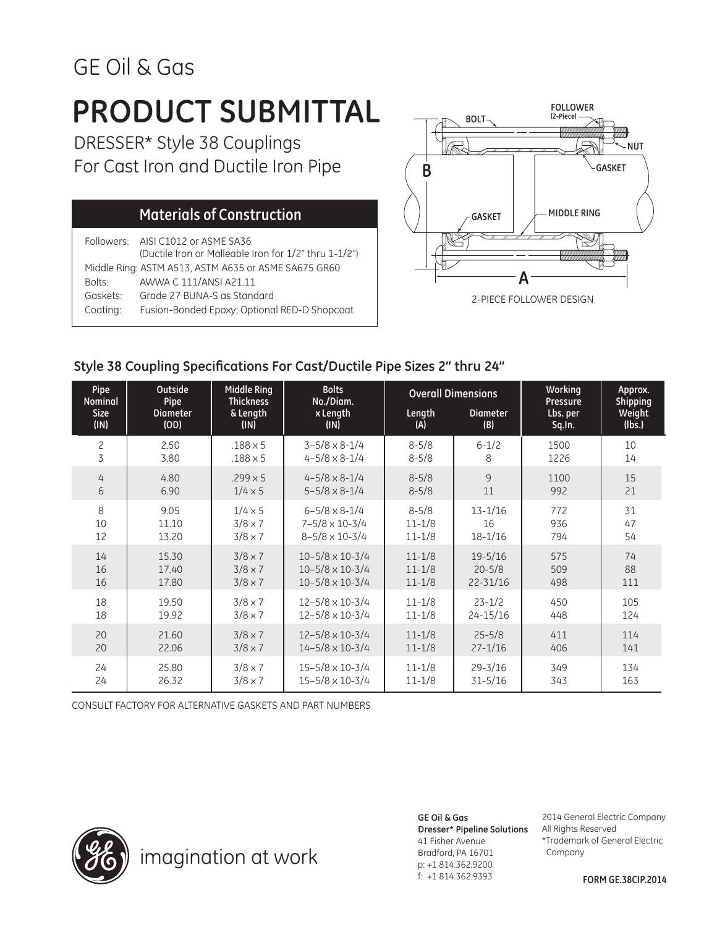## GE Oil & Gas

## **PRODUCT SUBMITTAL**

DRESSER\* Style 38 Couplings For Cast Iron and Ductile Iron Pipe

### **Materials of Construction**

Followers: AISI C1012 or ASME SA36 (Ductile Iron or Malleable Iron for 1/2" thru 1-1/2") Middle Ring: ASTM A513, ASTM A635 or ASME SA675 GR60 Bolts: AWWA C 111/ANSI A21.11 Gaskets: Grade 27 BUNA-S as Standard Coating: Fusion-Bonded Epoxy; Optional RED-D Shopcoat



### **Style 38 Coupling Specifications For Cast/Ductile Pipe Sizes 2" thru 24"**

| Pipe           | Outside         | <b>Middle Ring</b> | <b>Bolts</b>               | <b>Overall Dimensions</b> |                 | Working  | Approx.  |
|----------------|-----------------|--------------------|----------------------------|---------------------------|-----------------|----------|----------|
| <b>Nominal</b> | Pipe            | <b>Thickness</b>   | No./Diam.                  |                           |                 | Pressure | Shipping |
| <b>Size</b>    | <b>Diameter</b> | & Length           | x Length                   | Length                    | <b>Diameter</b> | Lbs. per | Weight   |
| (IN)           | (OD)            | (IN)               | (IN)                       | (A)                       | (B)             | Sq.In.   | (Ibs.)   |
| 2              | 2.50            | $.188 \times 5$    | $3 - 5/8 \times 8 - 1/4$   | $8 - 5/8$                 | $6 - 1/2$       | 1500     | 10       |
| 3              | 3.80            | $.188 \times 5$    | $4 - 5/8 \times 8 - 1/4$   | $8 - 5/8$                 | 8               | 1226     | 14       |
| 4              | 4.80            | $.299 \times 5$    | $4 - 5/8 \times 8 - 1/4$   | $8 - 5/8$                 | 9               | 1100     | 15       |
| 6              | 6.90            | $1/4 \times 5$     | $5 - 5/8 \times 8 - 1/4$   | $8 - 5/8$                 | 11              | 992      | 21       |
| 8              | 9.05            | $1/4 \times 5$     | $6 - 5/8 \times 8 - 1/4$   | $8 - 5/8$                 | $13 - 1/16$     | 772      | 31       |
| 10             | 11.10           | $3/8 \times 7$     | $7 - 5/8 \times 10 - 3/4$  | $11 - 1/8$                | 16              | 936      | 47       |
| 12             | 13.20           | $3/8 \times 7$     | $8 - 5/8 \times 10 - 3/4$  | $11 - 1/8$                | $18 - 1/16$     | 794      | 54       |
| 14             | 15.30           | $3/8 \times 7$     | $10 - 5/8 \times 10 - 3/4$ | $11 - 1/8$                | $19 - 5/16$     | 575      | 74       |
| 16             | 17.40           | $3/8 \times 7$     | $10 - 5/8 \times 10 - 3/4$ | $11 - 1/8$                | $20 - 5/8$      | 509      | 88       |
| 16             | 17.80           | $3/8 \times 7$     | $10 - 5/8 \times 10 - 3/4$ | $11 - 1/8$                | $22 - 31/16$    | 498      | 111      |
| 18             | 19.50           | $3/8 \times 7$     | $12 - 5/8 \times 10 - 3/4$ | $11 - 1/8$                | $23 - 1/2$      | 450      | 105      |
| 18             | 19.92           | $3/8 \times 7$     | $12 - 5/8 \times 10 - 3/4$ | $11 - 1/8$                | $24 - 15/16$    | 448      | 124      |
| 20             | 21.60           | $3/8 \times 7$     | $12 - 5/8 \times 10 - 3/4$ | $11 - 1/8$                | $25 - 5/8$      | 411      | 114      |
| 20             | 22.06           | $3/8 \times 7$     | $14 - 5/8 \times 10 - 3/4$ | $11 - 1/8$                | $27 - 1/16$     | 406      | 141      |
| 24             | 25.80           | $3/8 \times 7$     | $15 - 5/8 \times 10 - 3/4$ | $11 - 1/8$                | $29 - 3/16$     | 349      | 134      |
| 24             | 26.32           | $3/8 \times 7$     | $15 - 5/8 \times 10 - 3/4$ | $11 - 1/8$                | $31 - 5/16$     | 343      | 163      |

CONSULT FACTORY FOR ALTERNATIVE GASKETS AND PART NUMBERS



### **GE Oil & Gas**

41 Fisher Avenue Bradford, PA 16701 p: +1 814.362.9200 f: +1 814.362.9393

**Dresser\* Pipeline Solutions** All Rights Reserved 2014 General Electric Company \*Trademark of General Electric Company